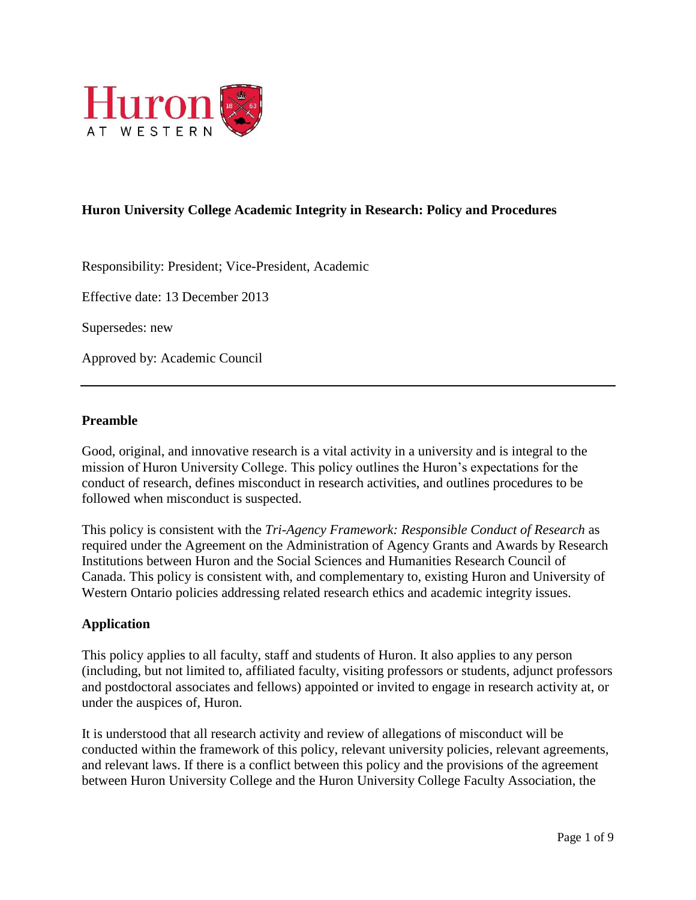

# **Huron University College Academic Integrity in Research: Policy and Procedures**

Responsibility: President; Vice-President, Academic

Effective date: 13 December 2013

Supersedes: new

Approved by: Academic Council

#### **Preamble**

Good, original, and innovative research is a vital activity in a university and is integral to the mission of Huron University College. This policy outlines the Huron's expectations for the conduct of research, defines misconduct in research activities, and outlines procedures to be followed when misconduct is suspected.

This policy is consistent with the *Tri-Agency Framework: Responsible Conduct of Research* as required under the Agreement on the Administration of Agency Grants and Awards by Research Institutions between Huron and the Social Sciences and Humanities Research Council of Canada. This policy is consistent with, and complementary to, existing Huron and University of Western Ontario policies addressing related research ethics and academic integrity issues.

#### **Application**

This policy applies to all faculty, staff and students of Huron. It also applies to any person (including, but not limited to, affiliated faculty, visiting professors or students, adjunct professors and postdoctoral associates and fellows) appointed or invited to engage in research activity at, or under the auspices of, Huron.

It is understood that all research activity and review of allegations of misconduct will be conducted within the framework of this policy, relevant university policies, relevant agreements, and relevant laws. If there is a conflict between this policy and the provisions of the agreement between Huron University College and the Huron University College Faculty Association, the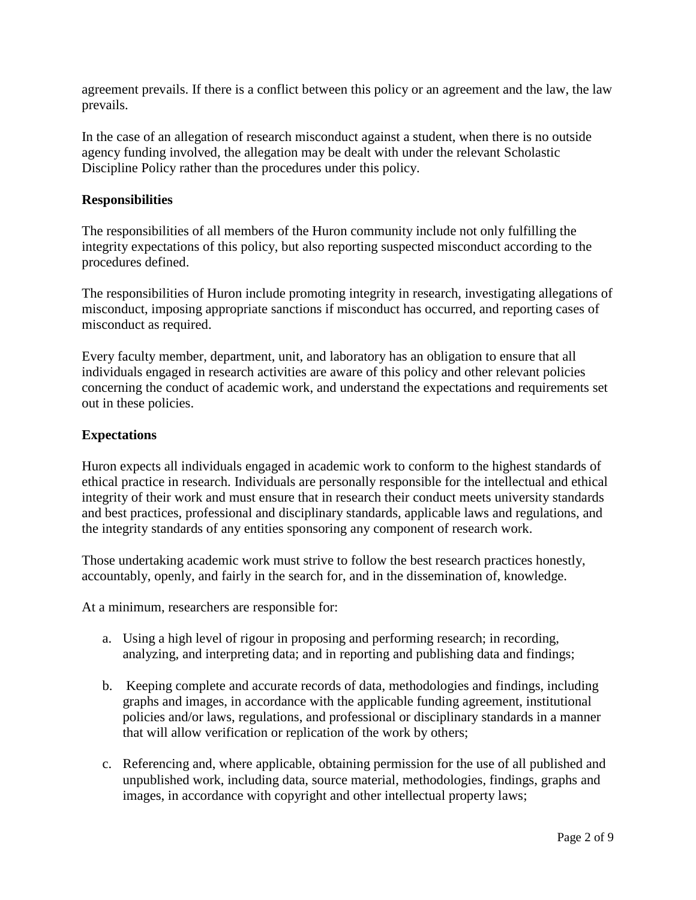agreement prevails. If there is a conflict between this policy or an agreement and the law, the law prevails.

In the case of an allegation of research misconduct against a student, when there is no outside agency funding involved, the allegation may be dealt with under the relevant Scholastic Discipline Policy rather than the procedures under this policy.

### **Responsibilities**

The responsibilities of all members of the Huron community include not only fulfilling the integrity expectations of this policy, but also reporting suspected misconduct according to the procedures defined.

The responsibilities of Huron include promoting integrity in research, investigating allegations of misconduct, imposing appropriate sanctions if misconduct has occurred, and reporting cases of misconduct as required.

Every faculty member, department, unit, and laboratory has an obligation to ensure that all individuals engaged in research activities are aware of this policy and other relevant policies concerning the conduct of academic work, and understand the expectations and requirements set out in these policies.

### **Expectations**

Huron expects all individuals engaged in academic work to conform to the highest standards of ethical practice in research. Individuals are personally responsible for the intellectual and ethical integrity of their work and must ensure that in research their conduct meets university standards and best practices, professional and disciplinary standards, applicable laws and regulations, and the integrity standards of any entities sponsoring any component of research work.

Those undertaking academic work must strive to follow the best research practices honestly, accountably, openly, and fairly in the search for, and in the dissemination of, knowledge.

At a minimum, researchers are responsible for:

- a. Using a high level of rigour in proposing and performing research; in recording, analyzing, and interpreting data; and in reporting and publishing data and findings;
- b. Keeping complete and accurate records of data, methodologies and findings, including graphs and images, in accordance with the applicable funding agreement, institutional policies and/or laws, regulations, and professional or disciplinary standards in a manner that will allow verification or replication of the work by others;
- c. Referencing and, where applicable, obtaining permission for the use of all published and unpublished work, including data, source material, methodologies, findings, graphs and images, in accordance with copyright and other intellectual property laws;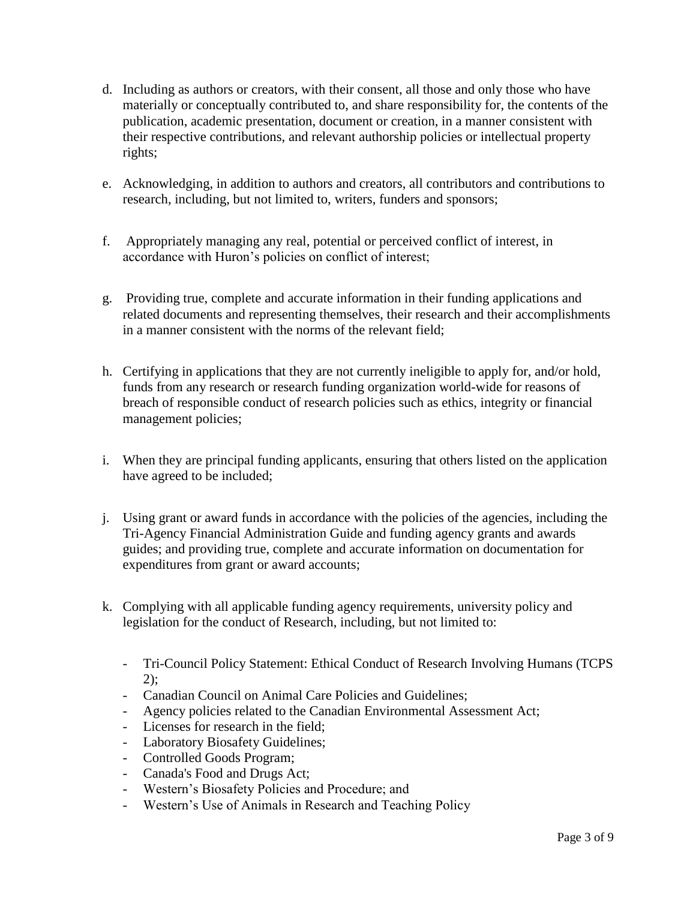- d. Including as authors or creators, with their consent, all those and only those who have materially or conceptually contributed to, and share responsibility for, the contents of the publication, academic presentation, document or creation, in a manner consistent with their respective contributions, and relevant authorship policies or intellectual property rights;
- e. Acknowledging, in addition to authors and creators, all contributors and contributions to research, including, but not limited to, writers, funders and sponsors;
- f. Appropriately managing any real, potential or perceived conflict of interest, in accordance with Huron's policies on conflict of interest;
- g. Providing true, complete and accurate information in their funding applications and related documents and representing themselves, their research and their accomplishments in a manner consistent with the norms of the relevant field;
- h. Certifying in applications that they are not currently ineligible to apply for, and/or hold, funds from any research or research funding organization world-wide for reasons of breach of responsible conduct of research policies such as ethics, integrity or financial management policies;
- i. When they are principal funding applicants, ensuring that others listed on the application have agreed to be included;
- j. Using grant or award funds in accordance with the policies of the agencies, including the Tri-Agency Financial Administration Guide and funding agency grants and awards guides; and providing true, complete and accurate information on documentation for expenditures from grant or award accounts;
- k. Complying with all applicable funding agency requirements, university policy and legislation for the conduct of Research, including, but not limited to:
	- Tri-Council Policy Statement: Ethical Conduct of Research Involving Humans (TCPS 2);
	- Canadian Council on Animal Care Policies and Guidelines;
	- Agency policies related to the Canadian Environmental Assessment Act;
	- Licenses for research in the field;
	- Laboratory Biosafety Guidelines;
	- Controlled Goods Program;
	- Canada's Food and Drugs Act;
	- Western's Biosafety Policies and Procedure; and
	- Western's Use of Animals in Research and Teaching Policy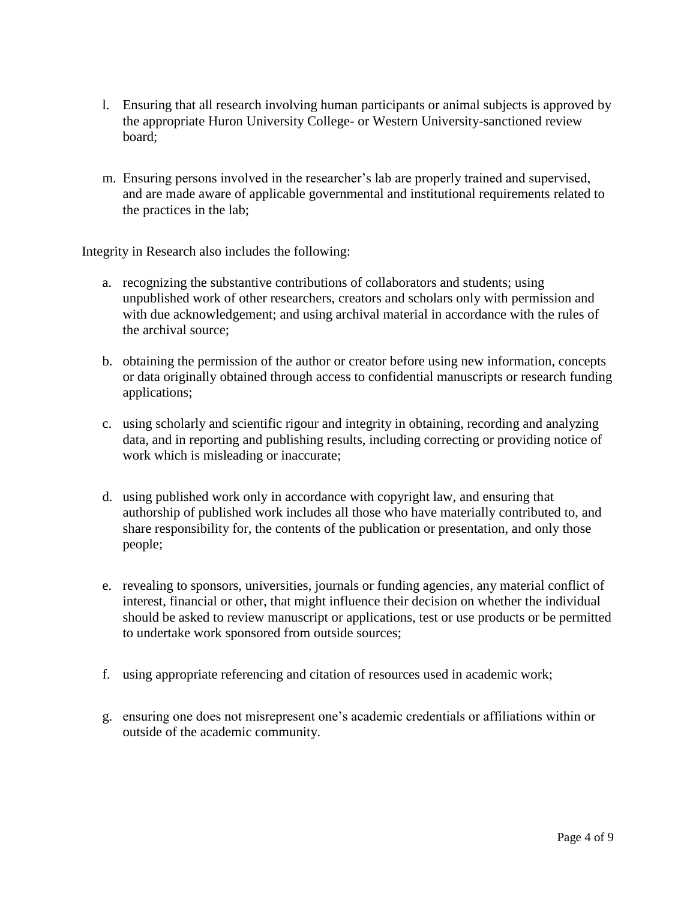- l. Ensuring that all research involving human participants or animal subjects is approved by the appropriate Huron University College- or Western University-sanctioned review board;
- m. Ensuring persons involved in the researcher's lab are properly trained and supervised, and are made aware of applicable governmental and institutional requirements related to the practices in the lab;

Integrity in Research also includes the following:

- a. recognizing the substantive contributions of collaborators and students; using unpublished work of other researchers, creators and scholars only with permission and with due acknowledgement; and using archival material in accordance with the rules of the archival source;
- b. obtaining the permission of the author or creator before using new information, concepts or data originally obtained through access to confidential manuscripts or research funding applications;
- c. using scholarly and scientific rigour and integrity in obtaining, recording and analyzing data, and in reporting and publishing results, including correcting or providing notice of work which is misleading or inaccurate;
- d. using published work only in accordance with copyright law, and ensuring that authorship of published work includes all those who have materially contributed to, and share responsibility for, the contents of the publication or presentation, and only those people;
- e. revealing to sponsors, universities, journals or funding agencies, any material conflict of interest, financial or other, that might influence their decision on whether the individual should be asked to review manuscript or applications, test or use products or be permitted to undertake work sponsored from outside sources;
- f. using appropriate referencing and citation of resources used in academic work;
- g. ensuring one does not misrepresent one's academic credentials or affiliations within or outside of the academic community.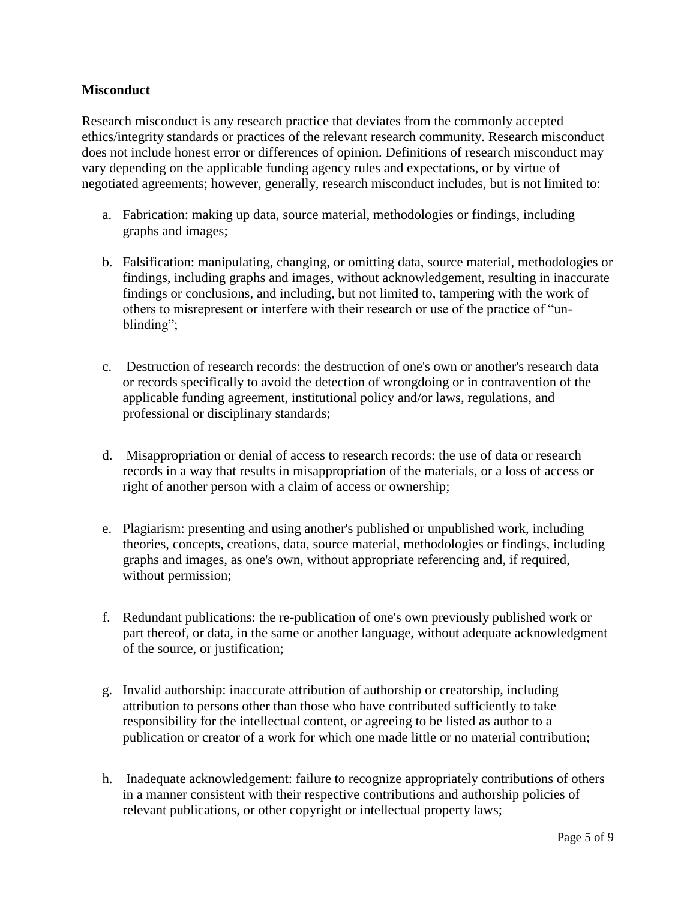### **Misconduct**

Research misconduct is any research practice that deviates from the commonly accepted ethics/integrity standards or practices of the relevant research community. Research misconduct does not include honest error or differences of opinion. Definitions of research misconduct may vary depending on the applicable funding agency rules and expectations, or by virtue of negotiated agreements; however, generally, research misconduct includes, but is not limited to:

- a. Fabrication: making up data, source material, methodologies or findings, including graphs and images;
- b. Falsification: manipulating, changing, or omitting data, source material, methodologies or findings, including graphs and images, without acknowledgement, resulting in inaccurate findings or conclusions, and including, but not limited to, tampering with the work of others to misrepresent or interfere with their research or use of the practice of "unblinding";
- c. Destruction of research records: the destruction of one's own or another's research data or records specifically to avoid the detection of wrongdoing or in contravention of the applicable funding agreement, institutional policy and/or laws, regulations, and professional or disciplinary standards;
- d. Misappropriation or denial of access to research records: the use of data or research records in a way that results in misappropriation of the materials, or a loss of access or right of another person with a claim of access or ownership;
- e. Plagiarism: presenting and using another's published or unpublished work, including theories, concepts, creations, data, source material, methodologies or findings, including graphs and images, as one's own, without appropriate referencing and, if required, without permission;
- f. Redundant publications: the re-publication of one's own previously published work or part thereof, or data, in the same or another language, without adequate acknowledgment of the source, or justification;
- g. Invalid authorship: inaccurate attribution of authorship or creatorship, including attribution to persons other than those who have contributed sufficiently to take responsibility for the intellectual content, or agreeing to be listed as author to a publication or creator of a work for which one made little or no material contribution;
- h. Inadequate acknowledgement: failure to recognize appropriately contributions of others in a manner consistent with their respective contributions and authorship policies of relevant publications, or other copyright or intellectual property laws;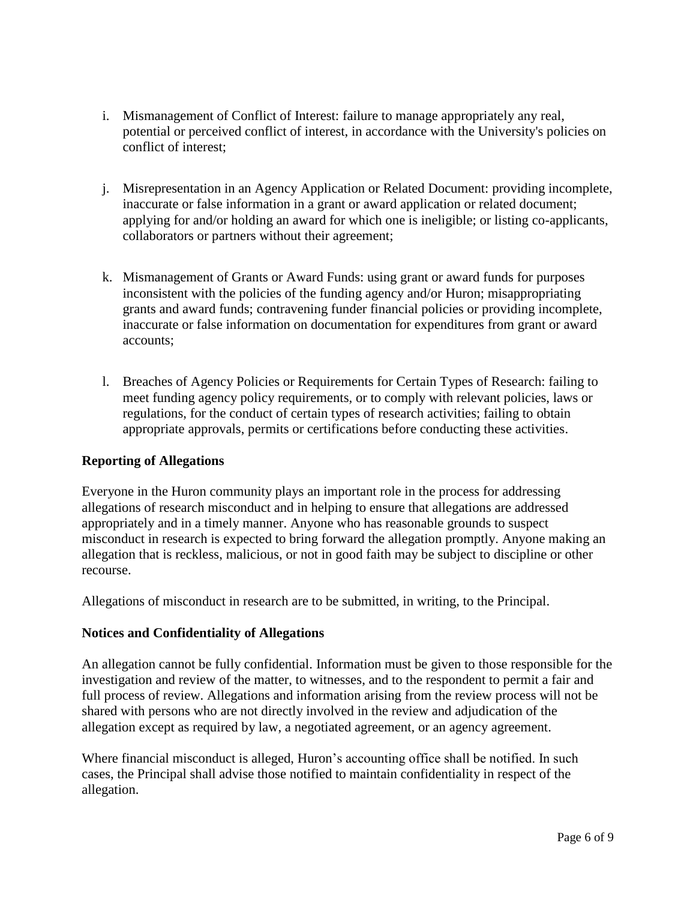- i. Mismanagement of Conflict of Interest: failure to manage appropriately any real, potential or perceived conflict of interest, in accordance with the University's policies on conflict of interest;
- j. Misrepresentation in an Agency Application or Related Document: providing incomplete, inaccurate or false information in a grant or award application or related document; applying for and/or holding an award for which one is ineligible; or listing co-applicants, collaborators or partners without their agreement;
- k. Mismanagement of Grants or Award Funds: using grant or award funds for purposes inconsistent with the policies of the funding agency and/or Huron; misappropriating grants and award funds; contravening funder financial policies or providing incomplete, inaccurate or false information on documentation for expenditures from grant or award accounts;
- l. Breaches of Agency Policies or Requirements for Certain Types of Research: failing to meet funding agency policy requirements, or to comply with relevant policies, laws or regulations, for the conduct of certain types of research activities; failing to obtain appropriate approvals, permits or certifications before conducting these activities.

## **Reporting of Allegations**

Everyone in the Huron community plays an important role in the process for addressing allegations of research misconduct and in helping to ensure that allegations are addressed appropriately and in a timely manner. Anyone who has reasonable grounds to suspect misconduct in research is expected to bring forward the allegation promptly. Anyone making an allegation that is reckless, malicious, or not in good faith may be subject to discipline or other recourse.

Allegations of misconduct in research are to be submitted, in writing, to the Principal.

## **Notices and Confidentiality of Allegations**

An allegation cannot be fully confidential. Information must be given to those responsible for the investigation and review of the matter, to witnesses, and to the respondent to permit a fair and full process of review. Allegations and information arising from the review process will not be shared with persons who are not directly involved in the review and adjudication of the allegation except as required by law, a negotiated agreement, or an agency agreement.

Where financial misconduct is alleged, Huron's accounting office shall be notified. In such cases, the Principal shall advise those notified to maintain confidentiality in respect of the allegation.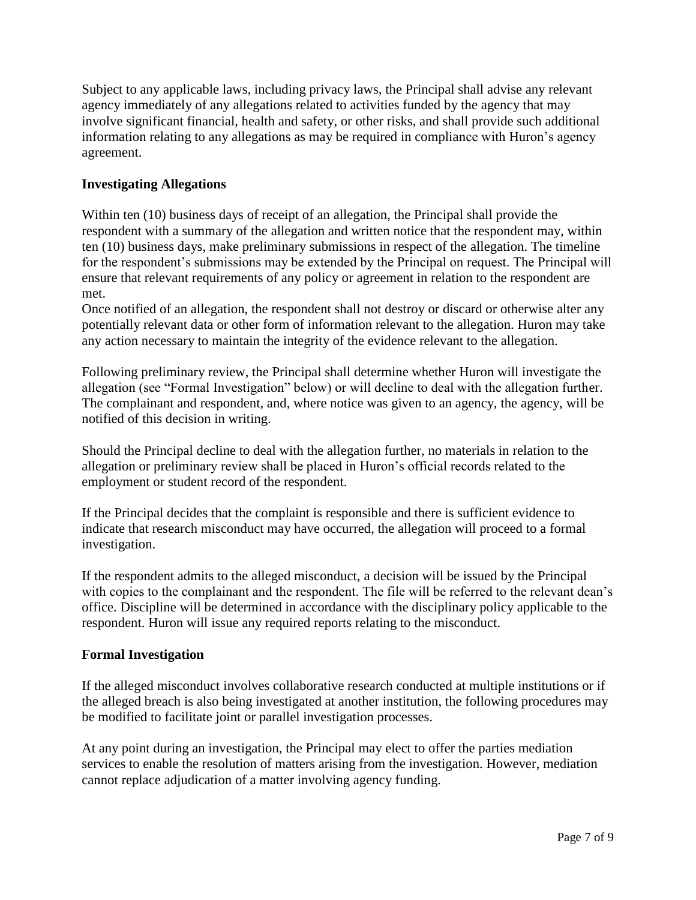Subject to any applicable laws, including privacy laws, the Principal shall advise any relevant agency immediately of any allegations related to activities funded by the agency that may involve significant financial, health and safety, or other risks, and shall provide such additional information relating to any allegations as may be required in compliance with Huron's agency agreement.

### **Investigating Allegations**

Within ten (10) business days of receipt of an allegation, the Principal shall provide the respondent with a summary of the allegation and written notice that the respondent may, within ten (10) business days, make preliminary submissions in respect of the allegation. The timeline for the respondent's submissions may be extended by the Principal on request. The Principal will ensure that relevant requirements of any policy or agreement in relation to the respondent are met.

Once notified of an allegation, the respondent shall not destroy or discard or otherwise alter any potentially relevant data or other form of information relevant to the allegation. Huron may take any action necessary to maintain the integrity of the evidence relevant to the allegation.

Following preliminary review, the Principal shall determine whether Huron will investigate the allegation (see "Formal Investigation" below) or will decline to deal with the allegation further. The complainant and respondent, and, where notice was given to an agency, the agency, will be notified of this decision in writing.

Should the Principal decline to deal with the allegation further, no materials in relation to the allegation or preliminary review shall be placed in Huron's official records related to the employment or student record of the respondent.

If the Principal decides that the complaint is responsible and there is sufficient evidence to indicate that research misconduct may have occurred, the allegation will proceed to a formal investigation.

If the respondent admits to the alleged misconduct, a decision will be issued by the Principal with copies to the complainant and the respondent. The file will be referred to the relevant dean's office. Discipline will be determined in accordance with the disciplinary policy applicable to the respondent. Huron will issue any required reports relating to the misconduct.

#### **Formal Investigation**

If the alleged misconduct involves collaborative research conducted at multiple institutions or if the alleged breach is also being investigated at another institution, the following procedures may be modified to facilitate joint or parallel investigation processes.

At any point during an investigation, the Principal may elect to offer the parties mediation services to enable the resolution of matters arising from the investigation. However, mediation cannot replace adjudication of a matter involving agency funding.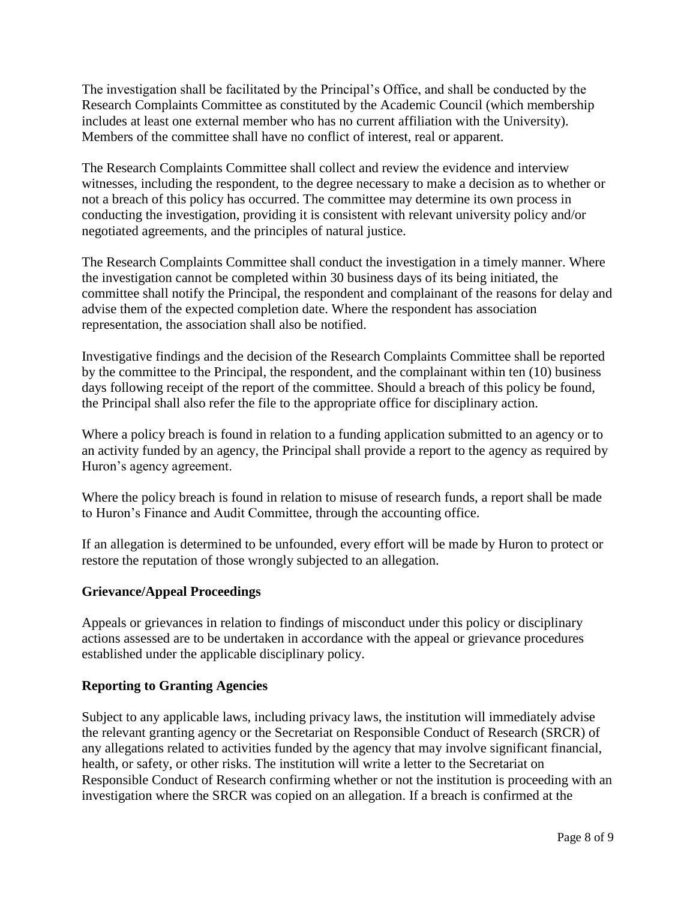The investigation shall be facilitated by the Principal's Office, and shall be conducted by the Research Complaints Committee as constituted by the Academic Council (which membership includes at least one external member who has no current affiliation with the University). Members of the committee shall have no conflict of interest, real or apparent.

The Research Complaints Committee shall collect and review the evidence and interview witnesses, including the respondent, to the degree necessary to make a decision as to whether or not a breach of this policy has occurred. The committee may determine its own process in conducting the investigation, providing it is consistent with relevant university policy and/or negotiated agreements, and the principles of natural justice.

The Research Complaints Committee shall conduct the investigation in a timely manner. Where the investigation cannot be completed within 30 business days of its being initiated, the committee shall notify the Principal, the respondent and complainant of the reasons for delay and advise them of the expected completion date. Where the respondent has association representation, the association shall also be notified.

Investigative findings and the decision of the Research Complaints Committee shall be reported by the committee to the Principal, the respondent, and the complainant within ten (10) business days following receipt of the report of the committee. Should a breach of this policy be found, the Principal shall also refer the file to the appropriate office for disciplinary action.

Where a policy breach is found in relation to a funding application submitted to an agency or to an activity funded by an agency, the Principal shall provide a report to the agency as required by Huron's agency agreement.

Where the policy breach is found in relation to misuse of research funds, a report shall be made to Huron's Finance and Audit Committee, through the accounting office.

If an allegation is determined to be unfounded, every effort will be made by Huron to protect or restore the reputation of those wrongly subjected to an allegation.

## **Grievance/Appeal Proceedings**

Appeals or grievances in relation to findings of misconduct under this policy or disciplinary actions assessed are to be undertaken in accordance with the appeal or grievance procedures established under the applicable disciplinary policy.

#### **Reporting to Granting Agencies**

Subject to any applicable laws, including privacy laws, the institution will immediately advise the relevant granting agency or the Secretariat on Responsible Conduct of Research (SRCR) of any allegations related to activities funded by the agency that may involve significant financial, health, or safety, or other risks. The institution will write a letter to the Secretariat on Responsible Conduct of Research confirming whether or not the institution is proceeding with an investigation where the SRCR was copied on an allegation. If a breach is confirmed at the